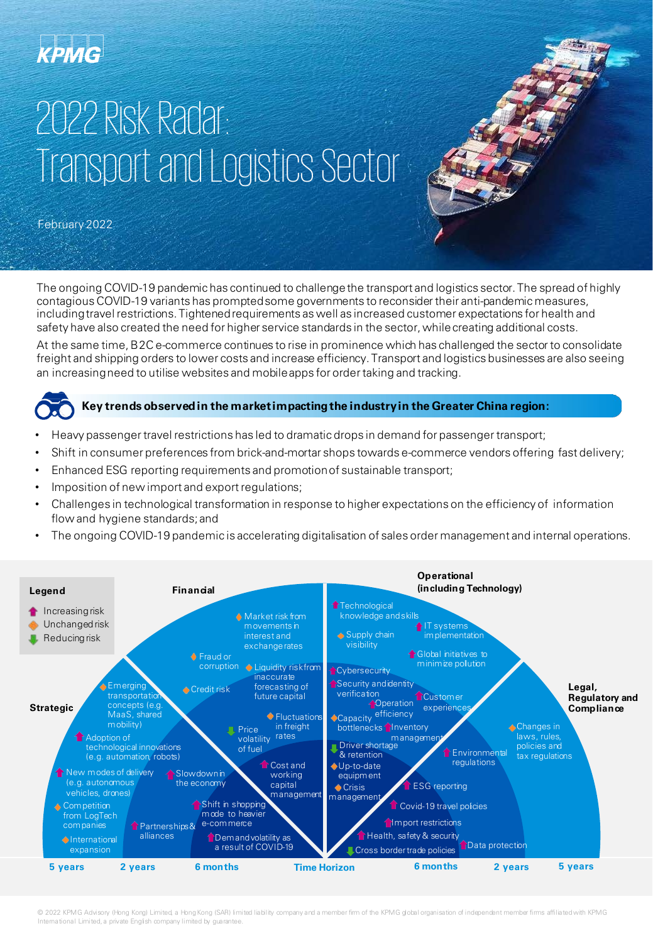### **KPMG**

## 2022 Risk Radar: Transport and Logistics Sector

February 2022

The ongoing COVID-19 pandemic has continued to challenge the transport and logistics sector. The spread of highly contagious COVID-19 variants has prompted some governments to reconsider their anti-pandemic measures, including travel restrictions. Tightened requirements as well as increased customer expectations for health and safety have also created the need for higher service standards in the sector, while creating additional costs.

At the same time, B2C e-commerce continues to rise in prominence which has challenged the sector to consolidate freight and shipping orders to lower costs and increase efficiency. Transport and logistics businesses are also seeing an increasing need to utilise websites and mobile apps for order taking and tracking.



#### **Key trends observed in the market impacting the industry in the Greater China region:**

- Heavy passenger travel restrictions has led to dramatic drops in demand for passenger transport;
- Shift in consumer preferences from brick-and-mortar shops towards e-commerce vendors offering fast delivery;
- Enhanced ESG reporting requirements and promotion of sustainable transport;
- Imposition of new import and export regulations;
- Challenges in technological transformation in response to higher expectations on the efficiency of information flow and hygiene standards; and
- The ongoing COVID-19 pandemic is accelerating digitalisation of sales order management and internal operations.



© 2022 KPMG Advisory (Hong Kong) Limited, a Hong Kong (SAR) limited liability company and a member firm of the KPMG global organisation of independent member firms affiliated with KPMG International Limited, a private English company limited by guarantee.